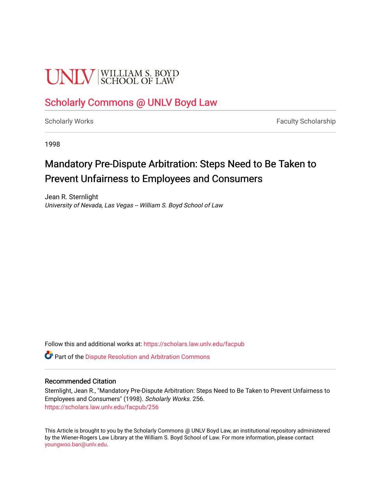# **UNIV** SCHOOL OF LAW

### [Scholarly Commons @ UNLV Boyd Law](https://scholars.law.unlv.edu/)

[Scholarly Works](https://scholars.law.unlv.edu/facpub) **Faculty Scholarship** Faculty Scholarship

1998

### Mandatory Pre-Dispute Arbitration: Steps Need to Be Taken to Prevent Unfairness to Employees and Consumers

Jean R. Sternlight University of Nevada, Las Vegas -- William S. Boyd School of Law

Follow this and additional works at: [https://scholars.law.unlv.edu/facpub](https://scholars.law.unlv.edu/facpub?utm_source=scholars.law.unlv.edu%2Ffacpub%2F256&utm_medium=PDF&utm_campaign=PDFCoverPages)

**C** Part of the Dispute Resolution and Arbitration Commons

### Recommended Citation

Sternlight, Jean R., "Mandatory Pre-Dispute Arbitration: Steps Need to Be Taken to Prevent Unfairness to Employees and Consumers" (1998). Scholarly Works. 256. [https://scholars.law.unlv.edu/facpub/256](https://scholars.law.unlv.edu/facpub/256?utm_source=scholars.law.unlv.edu%2Ffacpub%2F256&utm_medium=PDF&utm_campaign=PDFCoverPages)

This Article is brought to you by the Scholarly Commons @ UNLV Boyd Law, an institutional repository administered by the Wiener-Rogers Law Library at the William S. Boyd School of Law. For more information, please contact [youngwoo.ban@unlv.edu.](mailto:youngwoo.ban@unlv.edu)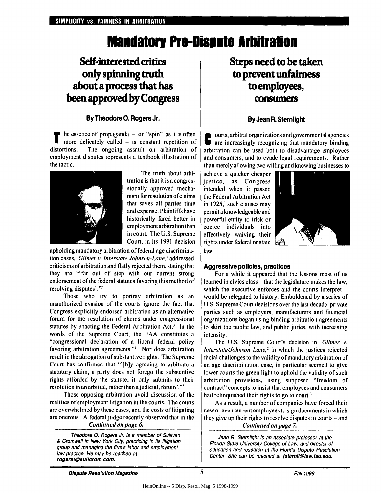## **Mandatory Pre-Dispute Arbitration**

### **Self-interested critics only spinning truth about a process that has been approved by Congress**

### **By Theodore 0. Rogers Jr.**

**T** he essence of propaganda **-** or "spin" as it is often more delicately called **-** is constant repetition of distortions. The ongoing assault on arbitration of employment disputes represents a textbook illustration of the tactic.



The truth about arbitration is that it is a congressionally approved mechanism for resolution ofclaims that saves all parties time and expense. Plaintiffs have historically fared better in employment arbitration than in court. The U.S. Supreme Court, in its 1991 decision

upholding mandatory arbitration of federal age discrimination cases, *Gilner v. Interstate Johnson-Lane,'* addressed criticisms of arbitration and flatly rejected them, stating that they are "'far out of step with our current strong endorsement of the federal statutes favoring this method of resolving disputes'."2

Those who try to portray arbitration as an unauthorized evasion of the courts ignore the fact that Congress explicitly endorsed arbitration as an alternative forum for the resolution of claims under congressional statutes by enacting the Federal Arbitration Act.<sup>3</sup> In the words of the Supreme Court, the FAA constitutes a "congressional declaration of a liberal federal policy favoring arbitration agreements."' Nor does arbitration result in the abrogation of substantive rights. The Supreme Court has confirmed that **"'[b]y** agreeing to arbitrate a statutory claim, a party does not forego the substantive rights afforded by the statute; it only submits to their resolution in an arbitral, rather than ajudicial, forum'. ' "

Those opposing arbitration avoid discussion of the realities of employment litigation in the courts. The courts are overwhelmed by these cases, and the costs of litigating are onerous. A federal judge recently observed that in the

### **Continued on page 6.**

Theodore **0.** Rogers Jr. is a member of Sullivan & Cromwell in New York City, practicing in its litigation group and managing the firm's labor and employment law practice. He may be reached at **rogerst@sulcrom.com.**

### **Steps need to be taken to prevent unfairness to employees, consumers**

### **By Jean R. Sternlight**

ourts, arbitral organizations and governmental agencies are increasingly recognizing that mandatory binding arbitration can be used both to disadvantage employees and consumers, and to evade legal requirements. Rather than merely allowing two willing and knowing businesses to

achieve a quicker cheaper justice, as Congress intended when it passed the Federal Arbitration Act in 1925,' such clauses may permit a knowledgeable and powerful entity to trick or coerce individuals into effectively waiving their rights under federal or state  $\frac{1}{2}$ law.



### **Aggressive policies, practices**

For a while it appeared that the lessons most of us learned in civics class – that the legislature makes the law, which the executive enforces and the courts interpret would be relegated to history. Emboldened by a series of U.S. Supreme Court decisions over the last decade, private parties such as employers, manufacturers and financial organizations began using binding arbitration agreements to skirt the public law, and public juries, with increasing intensity.

The U.S. Supreme Court's decision in **Gilner v.** *hiterstate/Johnson Lane*,<sup>2</sup> in which the justices rejected facial challenges to the validity of mandatory arbitration of an age discrimination case, in particular seemed to give lower courts the green light to uphold the validity of such arbitration provisions, using supposed "freedom of contract" concepts to insist that employees and consumers had relinquished their rights to go to court.

As a result, a number of companies have forced their new or even current employees to sign documents in which they give up their rights to resolve disputes in courts – and **Continued on page 7.**

Jean R. Stemlight is an associate professor at the Florida State University College of Law, and director of education and research at the Florida Dispute Resolution Center. She can be reached at Isternli@law.fsu.edu.

**Dispute Resolution MagazineFail** <sup>1998</sup> *Dispute Magazine Fall 1998*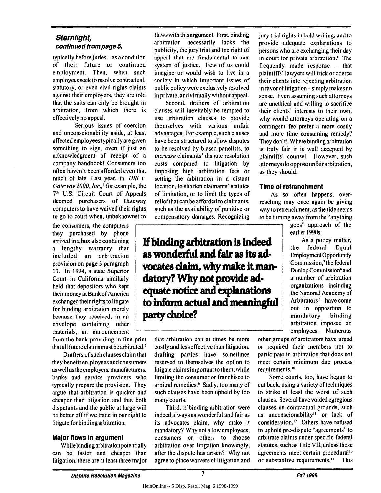### **Sternlight, continued from page 5.**

typically before juries – as a condition of their future or continued employment. Then, when such employees seek to resolve contractual, statutory, or even civil rights claims against their employers, they are told that the suits can only be brought in arbitration, from which there is effectively no appeal.

Serious issues of coercion and unconscionability aside, at least affected employees typically are given something to sign, even if just an acknowledgment of receipt of a company handbook! Consumers too often haven't been afforded even that much of late. Last year, in *Hill v*. *Gateway 2000, Inc.*,<sup>4</sup> for example, the **71h U.S.** Circuit Court of Appeals deemed purchasers of Gateway computers to have waived their rights to go to court when, unbeknownst to

the consumers, the computers they purchased **by** phone arrived in a box also containing a lengthy warranty that included an arbitration **a** provision on page 3 paragraph 10. In 1994, a state Superior Court in California similarly **held** that depositors who kept their money at Bank of America exchanged their rights to litigate **th** for binding arbitration merely because they received, in an envelope containing other materials, an announcement

from the bank providing in fine print that all future claims must be arbitrated. $3$ 

Drafters ofsuch clauses claim that they benefit employees and consumers as well as the employers, manufacturers, banks and service providers who typically prepare the provision. They argue that arbitration is quicker and cheaper than litigation and that both disputants and the public at large will be better off if we trade in our right to litigate for binding arbitration.

#### **Major flaws In argument**

While binding arbitration potentially can be faster and cheaper than litigation, there are at least three major

flaws with this argument. First, binding arbitration necessarily lacks the publicity, the jury trial and the right of appeal that are fundamental to our system of justice. Few of us could imagine or would wish to live in a society in which important issues of public policy were exclusively resolved in private, and virtually without appeal.

Second, drafters of arbitration clauses will inevitably be tempted to use arbitration clauses to provide themselves with various unfair advantages. For example, such clauses have been structured to allow disputes to be resolved by biased panelists, to increase claimants' dispute resolution costs compared to litigation by imposing high arbitration fees or setting the arbitration in a distant location, to shorten claimants' statutes of limitation, or to limit the types of relief that can be afforded to claimants, such as the availability of punitive or compensatory damages. Recognizing

**If binding arbitration is indeed** as wonderful and fair as its advocates claim, why make it man**atory? Why not provide ai equate notice and explanations inform actual and meani arty choice?**

that arbitration can at times be more costly and less effective than litigation, drafting parties have sometimes reserved to themselves the option to litigate claims important to them, while limiting the consumer or franchisee to arbitral remedies.<sup>6</sup> Sadly, too many of such clauses have been upheld by too many courts.

Third, if binding arbitration were indeed always as wonderful and fair as its advocates claim, why make it mandatory? Why not allow employees, consumers or others to choose arbitration over litigation knowingly, after the dispute has arisen? Why not agree to place waivers of litigation and jury trial rights in bold writing, and to provide adequate explanations to persons who are exchanging their day in court for private arbitration? The frequently made response - that plaintiffs' lawyers will trick or coerce their clients into rejecting arbitration in favorof litigation-simply makes no sense. Even assuming such attorneys are unethical and willing to sacrifice their clients' interests to their own, why would attorneys operating on a contingent fee prefer a more costly and more time consuming remedy? They don't! Where binding arbitration is truly fair it is well accepted by plaintiffs' counsel. However, such attorneys do oppose unfair arbitration, as they should.

#### **Time of retrenchment**

As so often happens, overreaching may once again be giving way to retrenchment, as the tide seems to be turning away from the "anything

> goes" approach of the earlier 1990s.<br>**As a policy matter,**

the federal Equal **aid-** Employment Opportunity Commission,<sup>7</sup> the federal Dunlop Commission<sup>8</sup> and **d.n** a number of arbitration organizations **-** including **0L5** the National Academy of **0ofu,1d** Arbitrators' **-** have come out in opposition to mandatory binding arbitration imposed on employees. Numerous

other groups of arbitrators have urged or required their members not to participate in arbitration that does not meet certain minimum due process requirements.<sup>10</sup>

Some courts, too, have begun to cut back, using a variety of techniques to strike at least the worst of such clauses. Several have voided egregious clauses on contractual grounds, such as unconscionability" or lack of consideration.<sup>12</sup> Others have refused to uphold pre-dispute "agreements" to arbitrate claims under specific federal statutes, such as Title VII, unless those agreements meet certain procedural<sup>13</sup> or substantive requirements.<sup>14</sup> This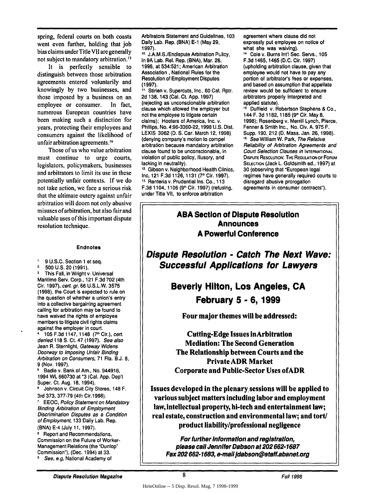spring, federal courts on both coasts went even further, holding that **job** bias claims under Title VII are generally not subject to mandatory arbitration.<sup>15</sup>

It is perfectly sensible to distinguish between those arbitration agreements entered voluntarily and knowingly **by** two businesses, and those imposed **by** a business on an employee or consumer. In fact, numerous European countries have been making such a distinction for years, protecting their employees and consumers against the likelihood of unfair arbitration agreements.<sup>16</sup>

Those of us who value arbitration must continue to urge courts, legislators, policymakers, businesses and arbitrators to limit its use in these potentially unfair contexts. **If** we do not take action, we face a serious risk that the ultimate outcry against unfair arbitration will doom not only abusive misuses of arbitration, but also fair and valuable uses of this important dispute resolution technique.

#### Endnotes

**9 U.S.C.** Section **I et** seq.  $1.$ 

**2. 500 U.S.** 20 **(1991).**

**<sup>3</sup>**This Fall, in Wright v. Universal Maritime Serv. Corp., 121 **F.3d 702** (4th Cir. **1997),** cert. gr. **66 U.S.L.W. 3575 (1998),** the Court is expected to rule on into a collective bargaining agreement calling for arbitration may be found to have waived the rights of employee members to litigate civil rights claims against the employer in court.

4. **105 F.3d 1147,** 1148 **(7th** Cir.), *cert.* denied **118 S.** Ct. 47 **(1997).** See also Jean R. Sternlight, Gateway Widens Doorway to Imposing Unfair Binding Arbitration on Consumers, **71** Fla. **B.J. 8, 9** (Nov. **1997).**

**<sup>5</sup>**Badie v. Bank of Am., No. 944916, 1994 WL **660730** at **"3** (Cal. **App. Dep't** Super. Ct. Aug. **18,** 1994).

Johnson v. Circuit City Stores, 148 F. 3rd **373, 377-79** (4th Cir.1998).

**7 EEOC,** Policy Statement on Mandatory Binding Arbitration of Employment Discrimination Disputes as a Condition of Employment, **133** Daily Lab. Rep. **(BNA)** E-4 (July **11, 1997).**

**8** Report and Recommendations, Commission on the Future of Worker-Management Relations (the "Dunlop" Commission"), (Dec. 1994) at **33.**

See, e.g, National Academy of

Arbitrators Statement and Guidelines, **103** Dally Lab. Rep. **(BNA) E-1** (May **29, 1997).**

**t0.** J.A.M.S./Endispute Arbitration Pulicy, in **9A** Lab. Rel. Rep. **(BNA),** Mar. **26, 1996,** at 534:521; American Arbitration Association **,** National Rules for the Resolution of Employment Disputes **(1997).**

**1** Stirlen v. Supercuts, Inc., **60** Cal. Rptr. **2d** 138,143 (Cal. Ct. **App. 1997)** (rejecting as unconscionable arbitration clause which allowed the employer but not the employee to litigate certain claims); Hooters of America, Inc. v. Phillips, No. **4:96-3360-22,1998 U.S.** Dist. **LEXIS 3962 (D. S.** Car. March **12, 1998)** (denying company's motion to compel arbitration because mandatory arbitration clause found to be unconscionable, in violation of public policy, illusory, and lacking in neutrality).

**12.** Gibson v. Neighborhood Health Clinics, Inc, 121 **F.3d 1126,1131 (71h** Cir. **1997). 13** Renteria v. Prudential Ins. Co., **<sup>113</sup> F.3d** 1104, **1106** (91h Cir. **1997)** (refusing, under Title VII, to enforce arbitration

agreement where clause did not expressly put employee on notice of what she was waiving). **11** Cole v. Burns Int'l Sec. Servs., **105 F.3d** 1465, 1465 **(D.C.** Cir. **1997)** (upholding arbitration clause, given that employee would not have to pay any portion of arbitrator's fees or expenses, and based on assumption that appellate review would **be** sufficient to ensure arbitrators properly Interpreted and applied statute).

**15** Duffield v. Robertson Stephens **&** Co., 144 F. **3d 1182, 1185 (9",** Cir. May **8, 1998);** Rosenberg v. Merrill Lynch, Pierce, Fenner **&** Smith Inc., No. Civ. **A. 975** F. Supp. **190,** 212 **(D.** Mass. Jan. **26, 1998). t6** See William W. Park, The Relative Reliability of Arbitration Agreements and Court Selection Clauses in **INTERNATIONAL DISPUTE RESOLUTION:** THE **REGULATION** OF FORUM **SELECTION** (Jack L. Goldsmith **ed., 1997)** at **30** (observing that "European legal regimes have generally required courts to disregard abusive prorogation agreements in consumer contracts").

### **ABA Section of Dispute Resolution Announces A Powerful Conference**

**Dispute Resolution - Catch The Next Wave: Successful Applications for Lawyers**

> **Beverly Hilton, Los Angeles, CA February 5 - 6, 1999**

**Four major themes will be addressed:**

**Cutting-Edge Issues inArbitration Mediation: The Second Generation The Relationship between Courts and the Private ADR Market Corporate and Public-Sector Uses ofADR**

**Issues developed in the plenary. sessions will be applied to various subject matters including labor and employment law, intellectual property, hi-tech and entertainment law; real estate, construction and environmental law; and tort/ product liability/professional negligence**

**For further Information and registration, please call Jennifer Dabson at 202 662-1687 Fax 202 662-1683, e-maIl** *Jdabson@staff.abanet.org*

HeinOnline -- 5 Disp. Resol. Mag. 7 1998-1999